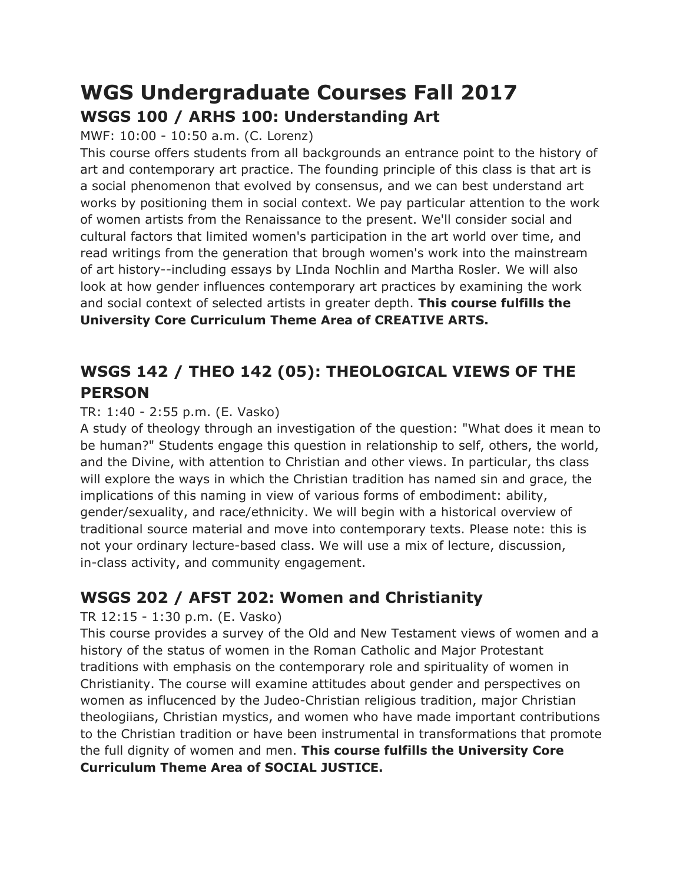# **WGS Undergraduate Courses Fall 2017 WSGS 100 / ARHS 100: Understanding Art**

MWF: 10:00 - 10:50 a.m. (C. Lorenz)

This course offers students from all backgrounds an entrance point to the history of art and contemporary art practice. The founding principle of this class is that art is a social phenomenon that evolved by consensus, and we can best understand art works by positioning them in social context. We pay particular attention to the work of women artists from the Renaissance to the present. We'll consider social and cultural factors that limited women's participation in the art world over time, and read writings from the generation that brough women's work into the mainstream of art history--including essays by LInda Nochlin and Martha Rosler. We will also look at how gender influences contemporary art practices by examining the work and social context of selected artists in greater depth. **This course fulfills the University Core Curriculum Theme Area of CREATIVE ARTS.**

### **WSGS 142 / THEO 142 (05): THEOLOGICAL VIEWS OF THE PERSON**

### TR: 1:40 - 2:55 p.m. (E. Vasko)

A study of theology through an investigation of the question: "What does it mean to be human?" Students engage this question in relationship to self, others, the world, and the Divine, with attention to Christian and other views. In particular, ths class will explore the ways in which the Christian tradition has named sin and grace, the implications of this naming in view of various forms of embodiment: ability, gender/sexuality, and race/ethnicity. We will begin with a historical overview of traditional source material and move into contemporary texts. Please note: this is not your ordinary lecture-based class. We will use a mix of lecture, discussion, in-class activity, and community engagement.

### **WSGS 202 / AFST 202: Women and Christianity**

### TR 12:15 - 1:30 p.m. (E. Vasko)

This course provides a survey of the Old and New Testament views of women and a history of the status of women in the Roman Catholic and Major Protestant traditions with emphasis on the contemporary role and spirituality of women in Christianity. The course will examine attitudes about gender and perspectives on women as influcenced by the Judeo-Christian religious tradition, major Christian theologiians, Christian mystics, and women who have made important contributions to the Christian tradition or have been instrumental in transformations that promote the full dignity of women and men. **This course fulfills the University Core Curriculum Theme Area of SOCIAL JUSTICE.**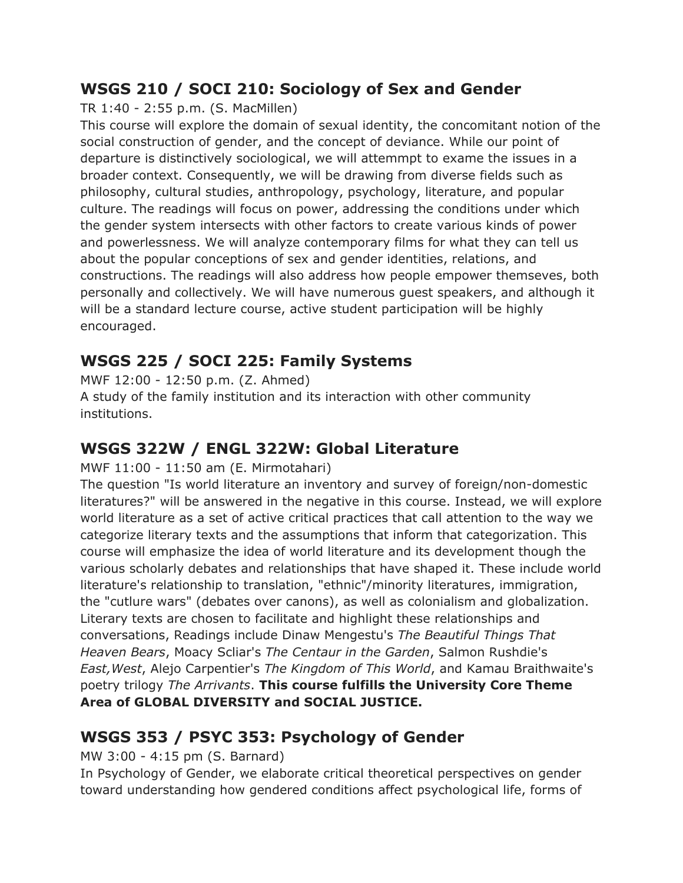### **WSGS 210 / SOCI 210: Sociology of Sex and Gender**

TR 1:40 - 2:55 p.m. (S. MacMillen)

This course will explore the domain of sexual identity, the concomitant notion of the social construction of gender, and the concept of deviance. While our point of departure is distinctively sociological, we will attemmpt to exame the issues in a broader context. Consequently, we will be drawing from diverse fields such as philosophy, cultural studies, anthropology, psychology, literature, and popular culture. The readings will focus on power, addressing the conditions under which the gender system intersects with other factors to create various kinds of power and powerlessness. We will analyze contemporary films for what they can tell us about the popular conceptions of sex and gender identities, relations, and constructions. The readings will also address how people empower themseves, both personally and collectively. We will have numerous guest speakers, and although it will be a standard lecture course, active student participation will be highly encouraged.

## **WSGS 225 / SOCI 225: Family Systems**

MWF 12:00 - 12:50 p.m. (Z. Ahmed) A study of the family institution and its interaction with other community institutions.

## **WSGS 322W / ENGL 322W: Global Literature**

MWF 11:00 - 11:50 am (E. Mirmotahari)

The question "Is world literature an inventory and survey of foreign/non-domestic literatures?" will be answered in the negative in this course. Instead, we will explore world literature as a set of active critical practices that call attention to the way we categorize literary texts and the assumptions that inform that categorization. This course will emphasize the idea of world literature and its development though the various scholarly debates and relationships that have shaped it. These include world literature's relationship to translation, "ethnic"/minority literatures, immigration, the "cutlure wars" (debates over canons), as well as colonialism and globalization. Literary texts are chosen to facilitate and highlight these relationships and conversations, Readings include Dinaw Mengestu's *The Beautiful Things That Heaven Bears*, Moacy Scliar's *The Centaur in the Garden*, Salmon Rushdie's *East,West*, Alejo Carpentier's *The Kingdom of This World*, and Kamau Braithwaite's poetry trilogy *The Arrivants*. **This course fulfills the University Core Theme Area of GLOBAL DIVERSITY and SOCIAL JUSTICE.**

## **WSGS 353 / PSYC 353: Psychology of Gender**

### MW 3:00 - 4:15 pm (S. Barnard)

In Psychology of Gender, we elaborate critical theoretical perspectives on gender toward understanding how gendered conditions affect psychological life, forms of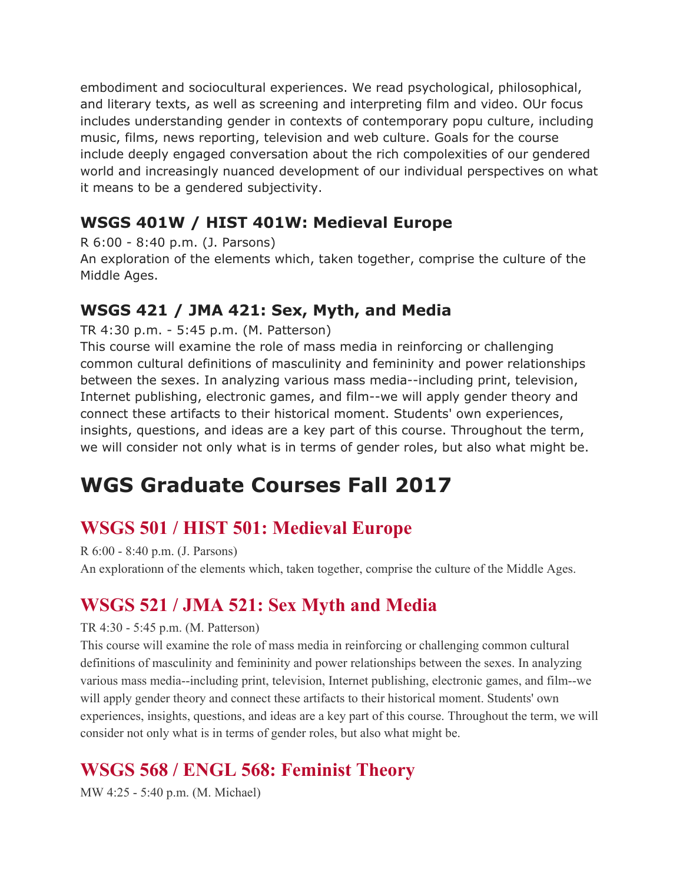embodiment and sociocultural experiences. We read psychological, philosophical, and literary texts, as well as screening and interpreting film and video. OUr focus includes understanding gender in contexts of contemporary popu culture, including music, films, news reporting, television and web culture. Goals for the course include deeply engaged conversation about the rich compolexities of our gendered world and increasingly nuanced development of our individual perspectives on what it means to be a gendered subjectivity.

### **WSGS 401W / HIST 401W: Medieval Europe**

R 6:00 - 8:40 p.m. (J. Parsons)

An exploration of the elements which, taken together, comprise the culture of the Middle Ages.

### **WSGS 421 / JMA 421: Sex, Myth, and Media**

TR 4:30 p.m. - 5:45 p.m. (M. Patterson)

This course will examine the role of mass media in reinforcing or challenging common cultural definitions of masculinity and femininity and power relationships between the sexes. In analyzing various mass media--including print, television, Internet publishing, electronic games, and film--we will apply gender theory and connect these artifacts to their historical moment. Students' own experiences, insights, questions, and ideas are a key part of this course. Throughout the term, we will consider not only what is in terms of gender roles, but also what might be.

# **WGS Graduate Courses Fall 2017**

# **WSGS 501 / HIST 501: Medieval Europe**

R 6:00 - 8:40 p.m. (J. Parsons)

An explorationn of the elements which, taken together, comprise the culture of the Middle Ages.

## **WSGS 521 / JMA 521: Sex Myth and Media**

#### TR 4:30 - 5:45 p.m. (M. Patterson)

This course will examine the role of mass media in reinforcing or challenging common cultural definitions of masculinity and femininity and power relationships between the sexes. In analyzing various mass media--including print, television, Internet publishing, electronic games, and film--we will apply gender theory and connect these artifacts to their historical moment. Students' own experiences, insights, questions, and ideas are a key part of this course. Throughout the term, we will consider not only what is in terms of gender roles, but also what might be.

# **WSGS 568 / ENGL 568: Feminist Theory**

MW 4:25 - 5:40 p.m. (M. Michael)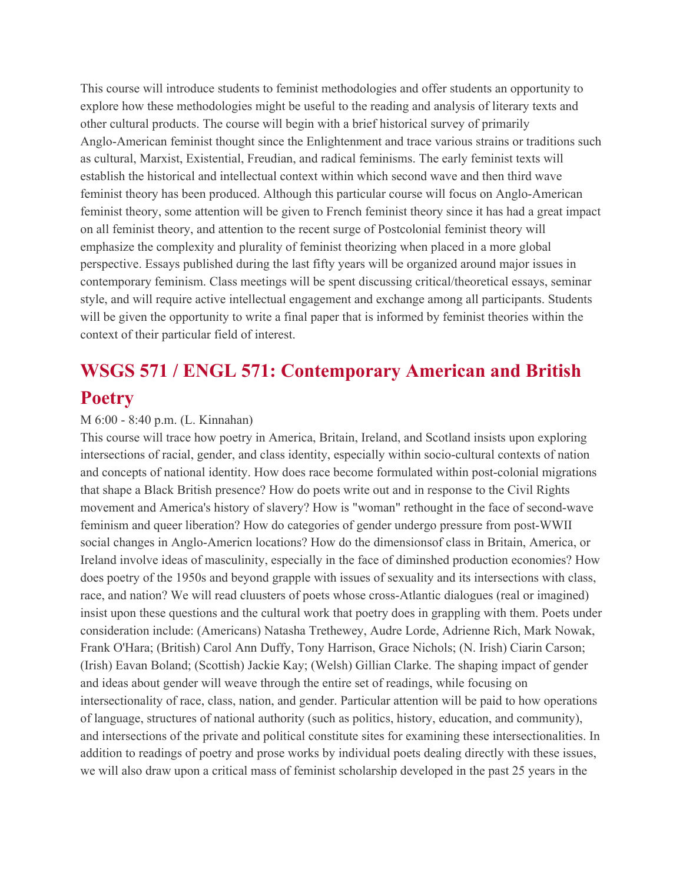This course will introduce students to feminist methodologies and offer students an opportunity to explore how these methodologies might be useful to the reading and analysis of literary texts and other cultural products. The course will begin with a brief historical survey of primarily Anglo-American feminist thought since the Enlightenment and trace various strains or traditions such as cultural, Marxist, Existential, Freudian, and radical feminisms. The early feminist texts will establish the historical and intellectual context within which second wave and then third wave feminist theory has been produced. Although this particular course will focus on Anglo-American feminist theory, some attention will be given to French feminist theory since it has had a great impact on all feminist theory, and attention to the recent surge of Postcolonial feminist theory will emphasize the complexity and plurality of feminist theorizing when placed in a more global perspective. Essays published during the last fifty years will be organized around major issues in contemporary feminism. Class meetings will be spent discussing critical/theoretical essays, seminar style, and will require active intellectual engagement and exchange among all participants. Students will be given the opportunity to write a final paper that is informed by feminist theories within the context of their particular field of interest.

# **WSGS 571 / ENGL 571: Contemporary American and British Poetry**

#### M 6:00 - 8:40 p.m. (L. Kinnahan)

This course will trace how poetry in America, Britain, Ireland, and Scotland insists upon exploring intersections of racial, gender, and class identity, especially within socio-cultural contexts of nation and concepts of national identity. How does race become formulated within post-colonial migrations that shape a Black British presence? How do poets write out and in response to the Civil Rights movement and America's history of slavery? How is "woman" rethought in the face of second-wave feminism and queer liberation? How do categories of gender undergo pressure from post-WWII social changes in Anglo-Americn locations? How do the dimensionsof class in Britain, America, or Ireland involve ideas of masculinity, especially in the face of diminshed production economies? How does poetry of the 1950s and beyond grapple with issues of sexuality and its intersections with class, race, and nation? We will read cluusters of poets whose cross-Atlantic dialogues (real or imagined) insist upon these questions and the cultural work that poetry does in grappling with them. Poets under consideration include: (Americans) Natasha Trethewey, Audre Lorde, Adrienne Rich, Mark Nowak, Frank O'Hara; (British) Carol Ann Duffy, Tony Harrison, Grace Nichols; (N. Irish) Ciarin Carson; (Irish) Eavan Boland; (Scottish) Jackie Kay; (Welsh) Gillian Clarke. The shaping impact of gender and ideas about gender will weave through the entire set of readings, while focusing on intersectionality of race, class, nation, and gender. Particular attention will be paid to how operations of language, structures of national authority (such as politics, history, education, and community), and intersections of the private and political constitute sites for examining these intersectionalities. In addition to readings of poetry and prose works by individual poets dealing directly with these issues, we will also draw upon a critical mass of feminist scholarship developed in the past 25 years in the